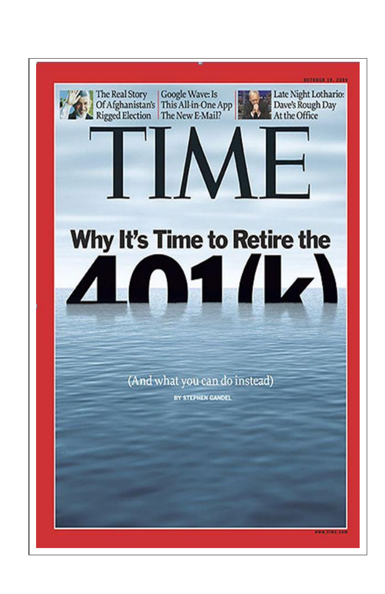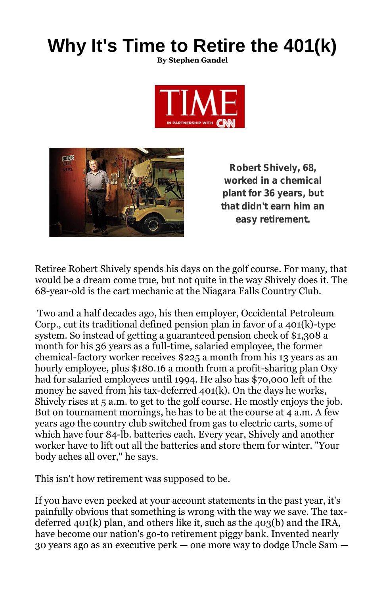# **Why It's Time to Retire the 401(k)**

**By Stephen Gandel**





Robert Shively, 68, worked in a chemical plant for 36 years, but that didn't earn him an easy retirement.

Retiree Robert Shively spends his days on the golf course. For many, that would be a dream come true, but not quite in the way Shively does it. The 68-year-old is the cart mechanic at the Niagara Falls Country Club.

Two and a half decades ago, his then employer, Occidental Petroleum Corp., cut its traditional defined pension plan in favor of a 401(k)-type system. So instead of getting a guaranteed pension check of \$1,308 a month for his 36 years as a full-time, salaried employee, the former chemical-factory worker receives \$225 a month from his 13 years as an hourly employee, plus \$180.16 a month from a profit-sharing plan Oxy had for salaried employees until 1994. He also has \$70,000 left of the money he saved from his tax-deferred 401(k). On the days he works, Shively rises at 5 a.m. to get to the golf course. He mostly enjoys the job. But on tournament mornings, he has to be at the course at 4 a.m. A few years ago the country club switched from gas to electric carts, some of which have four 84-lb. batteries each. Every year, Shively and another worker have to lift out all the batteries and store them for winter. "Your body aches all over," he says.

This isn't how retirement was supposed to be.

If you have even peeked at your account statements in the past year, it's painfully obvious that something is wrong with the way we save. The taxdeferred 401(k) plan, and others like it, such as the 403(b) and the IRA, have become our nation's go-to retirement piggy bank. Invented nearly 30 years ago as an executive perk — one more way to dodge Uncle Sam —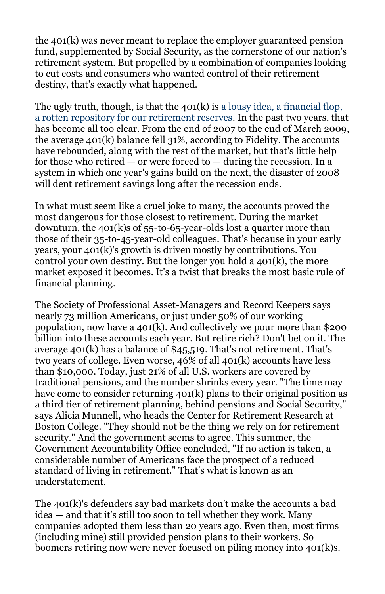the 401(k) was never meant to replace the employer guaranteed pension fund, supplemented by Social Security, as the cornerstone of our nation's retirement system. But propelled by a combination of companies looking to cut costs and consumers who wanted control of their retirement destiny, that's exactly what happened.

The ugly truth, though, is that the  $401(k)$  is a lousy idea, a financial flop, a rotten repository for our retirement reserves. In the past two years, that has become all too clear. From the end of 2007 to the end of March 2009, the average 401(k) balance fell 31%, according to Fidelity. The accounts have rebounded, along with the rest of the market, but that's little help for those who retired  $-$  or were forced to  $-$  during the recession. In a system in which one year's gains build on the next, the disaster of 2008 will dent retirement savings long after the recession ends.

In what must seem like a cruel joke to many, the accounts proved the most dangerous for those closest to retirement. During the market downturn, the 401(k)s of 55-to-65-year-olds lost a quarter more than those of their 35-to-45-year-old colleagues. That's because in your early years, your 401(k)'s growth is driven mostly by contributions. You control your own destiny. But the longer you hold a 401(k), the more market exposed it becomes. It's a twist that breaks the most basic rule of financial planning.

The Society of Professional Asset-Managers and Record Keepers says nearly 73 million Americans, or just under 50% of our working population, now have a 401(k). And collectively we pour more than \$200 billion into these accounts each year. But retire rich? Don't bet on it. The average 401(k) has a balance of \$45,519. That's not retirement. That's two years of college. Even worse, 46% of all 401(k) accounts have less than \$10,000. Today, just 21% of all U.S. workers are covered by traditional pensions, and the number shrinks every year. "The time may have come to consider returning 401(k) plans to their original position as a third tier of retirement planning, behind pensions and Social Security," says Alicia Munnell, who heads the Center for Retirement Research at Boston College. "They should not be the thing we rely on for retirement security." And the government seems to agree. This summer, the Government Accountability Office concluded, "If no action is taken, a considerable number of Americans face the prospect of a reduced standard of living in retirement." That's what is known as an understatement.

The 401(k)'s defenders say bad markets don't make the accounts a bad idea — and that it's still too soon to tell whether they work. Many companies adopted them less than 20 years ago. Even then, most firms (including mine) still provided pension plans to their workers. So boomers retiring now were never focused on piling money into 401(k)s.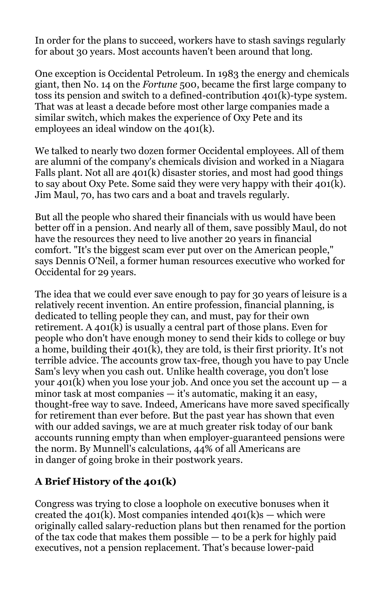In order for the plans to succeed, workers have to stash savings regularly for about 30 years. Most accounts haven't been around that long.

One exception is Occidental Petroleum. In 1983 the energy and chemicals giant, then No. 14 on the *Fortune* 500, became the first large company to toss its pension and switch to a defined-contribution 401(k)-type system. That was at least a decade before most other large companies made a similar switch, which makes the experience of Oxy Pete and its employees an ideal window on the 401(k).

We talked to nearly two dozen former Occidental employees. All of them are alumni of the company's chemicals division and worked in a Niagara Falls plant. Not all are 401(k) disaster stories, and most had good things to say about Oxy Pete. Some said they were very happy with their 401(k). Jim Maul, 70, has two cars and a boat and travels regularly.

But all the people who shared their financials with us would have been better off in a pension. And nearly all of them, save possibly Maul, do not have the resources they need to live another 20 years in financial comfort. "It's the biggest scam ever put over on the American people," says Dennis O'Neil, a former human resources executive who worked for Occidental for 29 years.

The idea that we could ever save enough to pay for 30 years of leisure is a relatively recent invention. An entire profession, financial planning, is dedicated to telling people they can, and must, pay for their own retirement. A 401(k) is usually a central part of those plans. Even for people who don't have enough money to send their kids to college or buy a home, building their 401(k), they are told, is their first priority. It's not terrible advice. The accounts grow tax-free, though you have to pay Uncle Sam's levy when you cash out. Unlike health coverage, you don't lose your  $401(k)$  when you lose your job. And once you set the account up  $- a$ minor task at most companies — it's automatic, making it an easy, thought-free way to save. Indeed, Americans have more saved specifically for retirement than ever before. But the past year has shown that even with our added savings, we are at much greater risk today of our bank accounts running empty than when employer-guaranteed pensions were the norm. By Munnell's calculations, 44% of all Americans are in danger of going broke in their postwork years.

# **A Brief History of the 401(k)**

Congress was trying to close a loophole on executive bonuses when it created the 401(k). Most companies intended  $401(k)s -$  which were originally called salary-reduction plans but then renamed for the portion of the tax code that makes them possible — to be a perk for highly paid executives, not a pension replacement. That's because lower-paid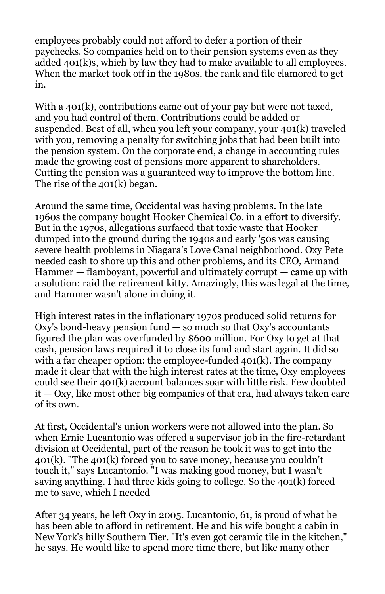employees probably could not afford to defer a portion of their paychecks. So companies held on to their pension systems even as they added 401(k)s, which by law they had to make available to all employees. When the market took off in the 1980s, the rank and file clamored to get in.

With a 401(k), contributions came out of your pay but were not taxed, and you had control of them. Contributions could be added or suspended. Best of all, when you left your company, your 401(k) traveled with you, removing a penalty for switching jobs that had been built into the pension system. On the corporate end, a change in accounting rules made the growing cost of pensions more apparent to shareholders. Cutting the pension was a guaranteed way to improve the bottom line. The rise of the 401(k) began.

Around the same time, Occidental was having problems. In the late 1960s the company bought Hooker Chemical Co. in a effort to diversify. But in the 1970s, allegations surfaced that toxic waste that Hooker dumped into the ground during the 1940s and early '50s was causing severe health problems in Niagara's Love Canal neighborhood. Oxy Pete needed cash to shore up this and other problems, and its CEO, Armand Hammer — flamboyant, powerful and ultimately corrupt — came up with a solution: raid the retirement kitty. Amazingly, this was legal at the time, and Hammer wasn't alone in doing it.

High interest rates in the inflationary 1970s produced solid returns for  $Oxy$ 's bond-heavy pension fund  $-$  so much so that  $Oxy$ 's accountants figured the plan was overfunded by \$600 million. For Oxy to get at that cash, pension laws required it to close its fund and start again. It did so with a far cheaper option: the employee-funded 401(k). The company made it clear that with the high interest rates at the time, Oxy employees could see their 401(k) account balances soar with little risk. Few doubted it — Oxy, like most other big companies of that era, had always taken care of its own.

At first, Occidental's union workers were not allowed into the plan. So when Ernie Lucantonio was offered a supervisor job in the fire-retardant division at Occidental, part of the reason he took it was to get into the 401(k). "The 401(k) forced you to save money, because you couldn't touch it," says Lucantonio. "I was making good money, but I wasn't saving anything. I had three kids going to college. So the 401(k) forced me to save, which I needed

After 34 years, he left Oxy in 2005. Lucantonio, 61, is proud of what he has been able to afford in retirement. He and his wife bought a cabin in New York's hilly Southern Tier. "It's even got ceramic tile in the kitchen," he says. He would like to spend more time there, but like many other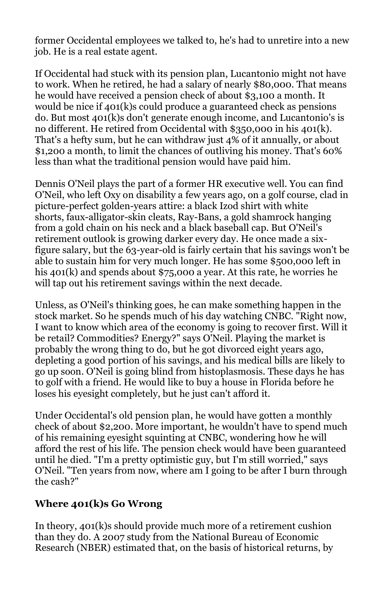former Occidental employees we talked to, he's had to unretire into a new job. He is a real estate agent.

If Occidental had stuck with its pension plan, Lucantonio might not have to work. When he retired, he had a salary of nearly \$80,000. That means he would have received a pension check of about \$3,100 a month. It would be nice if 401(k)s could produce a guaranteed check as pensions do. But most 401(k)s don't generate enough income, and Lucantonio's is no different. He retired from Occidental with \$350,000 in his 401(k). That's a hefty sum, but he can withdraw just 4% of it annually, or about \$1,200 a month, to limit the chances of outliving his money. That's 60% less than what the traditional pension would have paid him.

Dennis O'Neil plays the part of a former HR executive well. You can find O'Neil, who left Oxy on disability a few years ago, on a golf course, clad in picture-perfect golden-years attire: a black Izod shirt with white shorts, faux-alligator-skin cleats, Ray-Bans, a gold shamrock hanging from a gold chain on his neck and a black baseball cap. But O'Neil's retirement outlook is growing darker every day. He once made a sixfigure salary, but the 63-year-old is fairly certain that his savings won't be able to sustain him for very much longer. He has some \$500,000 left in his 401(k) and spends about \$75,000 a year. At this rate, he worries he will tap out his retirement savings within the next decade.

Unless, as O'Neil's thinking goes, he can make something happen in the stock market. So he spends much of his day watching CNBC. "Right now, I want to know which area of the economy is going to recover first. Will it be retail? Commodities? Energy?" says O'Neil. Playing the market is probably the wrong thing to do, but he got divorced eight years ago, depleting a good portion of his savings, and his medical bills are likely to go up soon. O'Neil is going blind from histoplasmosis. These days he has to golf with a friend. He would like to buy a house in Florida before he loses his eyesight completely, but he just can't afford it.

Under Occidental's old pension plan, he would have gotten a monthly check of about \$2,200. More important, he wouldn't have to spend much of his remaining eyesight squinting at CNBC, wondering how he will afford the rest of his life. The pension check would have been guaranteed until he died. "I'm a pretty optimistic guy, but I'm still worried," says O'Neil. "Ten years from now, where am I going to be after I burn through the cash?"

### **Where 401(k)s Go Wrong**

In theory, 401(k)s should provide much more of a retirement cushion than they do. A 2007 study from the National Bureau of Economic Research (NBER) estimated that, on the basis of historical returns, by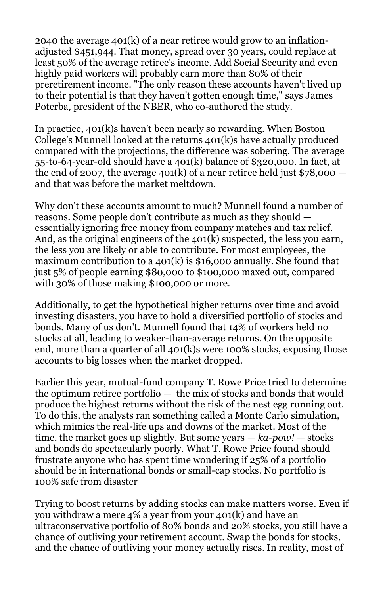2040 the average 401(k) of a near retiree would grow to an inflationadjusted \$451,944. That money, spread over 30 years, could replace at least 50% of the average retiree's income. Add Social Security and even highly paid workers will probably earn more than 80% of their preretirement income. "The only reason these accounts haven't lived up to their potential is that they haven't gotten enough time," says James Poterba, president of the NBER, who co-authored the study.

In practice, 401(k)s haven't been nearly so rewarding. When Boston College's Munnell looked at the returns 401(k)s have actually produced compared with the projections, the difference was sobering. The average 55-to-64-year-old should have a 401(k) balance of \$320,000. In fact, at the end of 2007, the average 401(k) of a near retiree held just  $$78,000$  – and that was before the market meltdown.

Why don't these accounts amount to much? Munnell found a number of reasons. Some people don't contribute as much as they should essentially ignoring free money from company matches and tax relief. And, as the original engineers of the 401(k) suspected, the less you earn, the less you are likely or able to contribute. For most employees, the maximum contribution to a 401(k) is \$16,000 annually. She found that just 5% of people earning \$80,000 to \$100,000 maxed out, compared with 30% of those making \$100,000 or more.

Additionally, to get the hypothetical higher returns over time and avoid investing disasters, you have to hold a diversified portfolio of stocks and bonds. Many of us don't. Munnell found that 14% of workers held no stocks at all, leading to weaker-than-average returns. On the opposite end, more than a quarter of all 401(k)s were 100% stocks, exposing those accounts to big losses when the market dropped.

Earlier this year, mutual-fund company T. Rowe Price tried to determine the optimum retiree portfolio — the mix of stocks and bonds that would produce the highest returns without the risk of the nest egg running out. To do this, the analysts ran something called a Monte Carlo simulation, which mimics the real-life ups and downs of the market. Most of the time, the market goes up slightly. But some years — *ka-pow!* — stocks and bonds do spectacularly poorly. What T. Rowe Price found should frustrate anyone who has spent time wondering if 25% of a portfolio should be in international bonds or small-cap stocks. No portfolio is 100% safe from disaster

Trying to boost returns by adding stocks can make matters worse. Even if you withdraw a mere 4% a year from your 401(k) and have an ultraconservative portfolio of 80% bonds and 20% stocks, you still have a chance of outliving your retirement account. Swap the bonds for stocks, and the chance of outliving your money actually rises. In reality, most of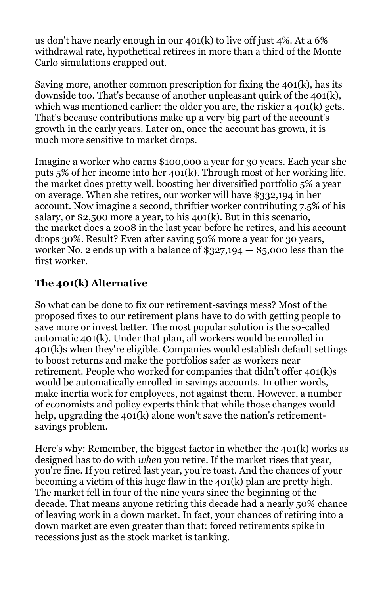us don't have nearly enough in our 401(k) to live off just 4%. At a 6% withdrawal rate, hypothetical retirees in more than a third of the Monte Carlo simulations crapped out.

Saving more, another common prescription for fixing the 401(k), has its downside too. That's because of another unpleasant quirk of the 401(k), which was mentioned earlier: the older you are, the riskier a 401(k) gets. That's because contributions make up a very big part of the account's growth in the early years. Later on, once the account has grown, it is much more sensitive to market drops.

Imagine a worker who earns \$100,000 a year for 30 years. Each year she puts 5% of her income into her 401(k). Through most of her working life, the market does pretty well, boosting her diversified portfolio 5% a year on average. When she retires, our worker will have \$332,194 in her account. Now imagine a second, thriftier worker contributing 7.5% of his salary, or \$2,500 more a year, to his 401(k). But in this scenario, the market does a 2008 in the last year before he retires, and his account drops 30%. Result? Even after saving 50% more a year for 30 years, worker No. 2 ends up with a balance of  $$327,194 - $5,000$  less than the first worker.

# **The 401(k) Alternative**

So what can be done to fix our retirement-savings mess? Most of the proposed fixes to our retirement plans have to do with getting people to save more or invest better. The most popular solution is the so-called automatic 401(k). Under that plan, all workers would be enrolled in 401(k)s when they're eligible. Companies would establish default settings to boost returns and make the portfolios safer as workers near retirement. People who worked for companies that didn't offer 401(k)s would be automatically enrolled in savings accounts. In other words, make inertia work for employees, not against them. However, a number of economists and policy experts think that while those changes would help, upgrading the  $401(k)$  alone won't save the nation's retirementsavings problem.

Here's why: Remember, the biggest factor in whether the 401(k) works as designed has to do with *when* you retire. If the market rises that year, you're fine. If you retired last year, you're toast. And the chances of your becoming a victim of this huge flaw in the 401(k) plan are pretty high. The market fell in four of the nine years since the beginning of the decade. That means anyone retiring this decade had a nearly 50% chance of leaving work in a down market. In fact, your chances of retiring into a down market are even greater than that: forced retirements spike in recessions just as the stock market is tanking.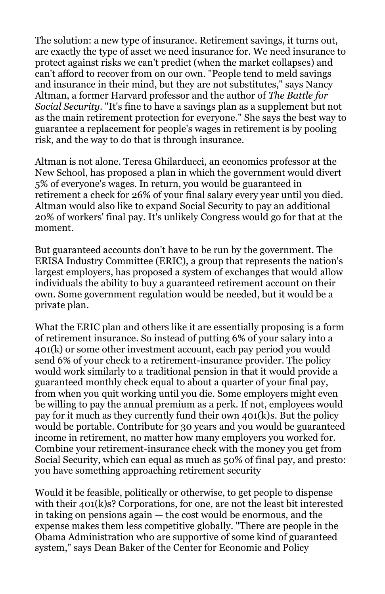The solution: a new type of insurance. Retirement savings, it turns out, are exactly the type of asset we need insurance for. We need insurance to protect against risks we can't predict (when the market collapses) and can't afford to recover from on our own. "People tend to meld savings and insurance in their mind, but they are not substitutes," says Nancy Altman, a former Harvard professor and the author of *The Battle for Social Security*. "It's fine to have a savings plan as a supplement but not as the main retirement protection for everyone." She says the best way to guarantee a replacement for people's wages in retirement is by pooling risk, and the way to do that is through insurance.

Altman is not alone. Teresa Ghilarducci, an economics professor at the New School, has proposed a plan in which the government would divert 5% of everyone's wages. In return, you would be guaranteed in retirement a check for 26% of your final salary every year until you died. Altman would also like to expand Social Security to pay an additional 20% of workers' final pay. It's unlikely Congress would go for that at the moment.

But guaranteed accounts don't have to be run by the government. The ERISA Industry Committee (ERIC), a group that represents the nation's largest employers, has proposed a system of exchanges that would allow individuals the ability to buy a guaranteed retirement account on their own. Some government regulation would be needed, but it would be a private plan.

What the ERIC plan and others like it are essentially proposing is a form of retirement insurance. So instead of putting 6% of your salary into a 401(k) or some other investment account, each pay period you would send 6% of your check to a retirement-insurance provider. The policy would work similarly to a traditional pension in that it would provide a guaranteed monthly check equal to about a quarter of your final pay, from when you quit working until you die. Some employers might even be willing to pay the annual premium as a perk. If not, employees would pay for it much as they currently fund their own 401(k)s. But the policy would be portable. Contribute for 30 years and you would be guaranteed income in retirement, no matter how many employers you worked for. Combine your retirement-insurance check with the money you get from Social Security, which can equal as much as 50% of final pay, and presto: you have something approaching retirement security

Would it be feasible, politically or otherwise, to get people to dispense with their 401(k)s? Corporations, for one, are not the least bit interested in taking on pensions again — the cost would be enormous, and the expense makes them less competitive globally. "There are people in the Obama Administration who are supportive of some kind of guaranteed system," says Dean Baker of the Center for Economic and Policy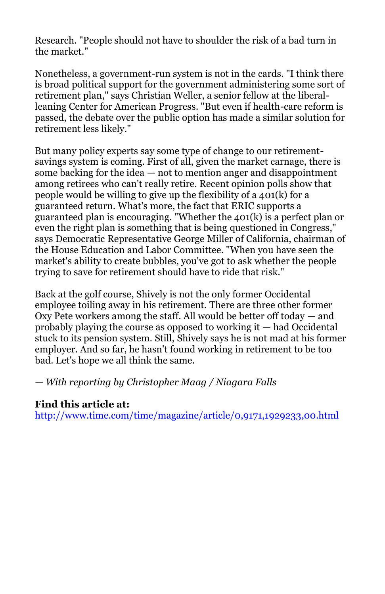Research. "People should not have to shoulder the risk of a bad turn in the market."

Nonetheless, a government-run system is not in the cards. "I think there is broad political support for the government administering some sort of retirement plan," says Christian Weller, a senior fellow at the liberalleaning Center for American Progress. "But even if health-care reform is passed, the debate over the public option has made a similar solution for retirement less likely."

But many policy experts say some type of change to our retirementsavings system is coming. First of all, given the market carnage, there is some backing for the idea — not to mention anger and disappointment among retirees who can't really retire. Recent opinion polls show that people would be willing to give up the flexibility of a 401(k) for a guaranteed return. What's more, the fact that ERIC supports a guaranteed plan is encouraging. "Whether the 401(k) is a perfect plan or even the right plan is something that is being questioned in Congress," says Democratic Representative George Miller of California, chairman of the House Education and Labor Committee. "When you have seen the market's ability to create bubbles, you've got to ask whether the people trying to save for retirement should have to ride that risk."

Back at the golf course, Shively is not the only former Occidental employee toiling away in his retirement. There are three other former Oxy Pete workers among the staff. All would be better off today — and probably playing the course as opposed to working it — had Occidental stuck to its pension system. Still, Shively says he is not mad at his former employer. And so far, he hasn't found working in retirement to be too bad. Let's hope we all think the same.

*— With reporting by Christopher Maag / Niagara Falls*

### **Find this article at:**

<http://www.time.com/time/magazine/article/0,9171,1929233,00.html>